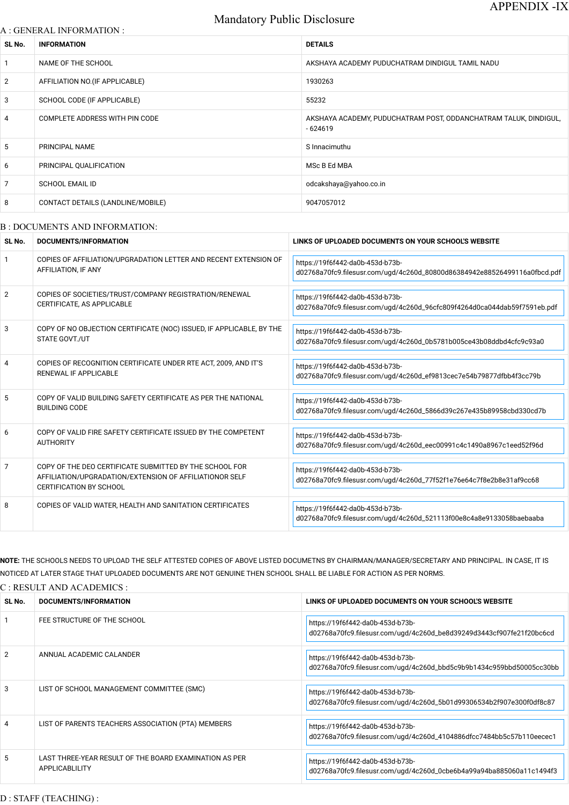# Mandatory Public Disclosure

### A : GENERAL INFORMATION :

| SL No.          | <b>INFORMATION</b>                | <b>DETAILS</b>                                                                |
|-----------------|-----------------------------------|-------------------------------------------------------------------------------|
| $\mathbf{1}$    | NAME OF THE SCHOOL                | AKSHAYA ACADEMY PUDUCHATRAM DINDIGUL TAMIL NADU                               |
| $\overline{2}$  | AFFILIATION NO. (IF APPLICABLE)   | 1930263                                                                       |
| 3               | SCHOOL CODE (IF APPLICABLE)       | 55232                                                                         |
| $\overline{4}$  | COMPLETE ADDRESS WITH PIN CODE    | AKSHAYA ACADEMY, PUDUCHATRAM POST, ODDANCHATRAM TALUK, DINDIGUL,<br>$-624619$ |
| $5\phantom{.0}$ | PRINCIPAL NAME                    | S Innacimuthu                                                                 |
| 6               | PRINCIPAL QUALIFICATION           | MSc B Ed MBA                                                                  |
| $\overline{7}$  | <b>SCHOOL EMAIL ID</b>            | odcakshaya@yahoo.co.in                                                        |
| 8               | CONTACT DETAILS (LANDLINE/MOBILE) | 9047057012                                                                    |
|                 |                                   |                                                                               |

#### B : DOCUMENTS AND INFORMATION:

| SL No.         | <b>DOCUMENTS/INFORMATION</b>                                                                                                                         | LINKS OF UPLOADED DOCUMENTS ON YOUR SCHOOL'S WEBSITE                                                          |
|----------------|------------------------------------------------------------------------------------------------------------------------------------------------------|---------------------------------------------------------------------------------------------------------------|
|                | COPIES OF AFFILIATION/UPGRADATION LETTER AND RECENT EXTENSION OF<br>AFFILIATION, IF ANY                                                              | https://19f6f442-da0b-453d-b73b-<br>d02768a70fc9.filesusr.com/ugd/4c260d_80800d86384942e88526499116a0fbcd.pdf |
| $\overline{2}$ | COPIES OF SOCIETIES/TRUST/COMPANY REGISTRATION/RENEWAL<br>CERTIFICATE, AS APPLICABLE                                                                 | https://19f6f442-da0b-453d-b73b-<br>d02768a70fc9.filesusr.com/ugd/4c260d_96cfc809f4264d0ca044dab59f7591eb.pdf |
| 3              | COPY OF NO OBJECTION CERTIFICATE (NOC) ISSUED, IF APPLICABLE, BY THE<br>STATE GOVT./UT                                                               | https://19f6f442-da0b-453d-b73b-<br>d02768a70fc9.filesusr.com/ugd/4c260d_0b5781b005ce43b08ddbd4cfc9c93a0      |
| 4              | COPIES OF RECOGNITION CERTIFICATE UNDER RTE ACT, 2009, AND IT'S<br>RENEWAL IF APPLICABLE                                                             | https://19f6f442-da0b-453d-b73b-<br>d02768a70fc9.filesusr.com/ugd/4c260d_ef9813cec7e54b79877dfbb4f3cc79b      |
| 5              | COPY OF VALID BUILDING SAFETY CERTIFICATE AS PER THE NATIONAL<br><b>BUILDING CODE</b>                                                                | https://19f6f442-da0b-453d-b73b-<br>d02768a70fc9.filesusr.com/ugd/4c260d_5866d39c267e435b89958cbd330cd7b      |
| 6              | COPY OF VALID FIRE SAFETY CERTIFICATE ISSUED BY THE COMPETENT<br><b>AUTHORITY</b>                                                                    | https://19f6f442-da0b-453d-b73b-<br>d02768a70fc9.filesusr.com/ugd/4c260d_eec00991c4c1490a8967c1eed52f96d      |
| $\overline{7}$ | COPY OF THE DEO CERTIFICATE SUBMITTED BY THE SCHOOL FOR<br>AFFILIATION/UPGRADATION/EXTENSION OF AFFILIATIONOR SELF<br><b>CERTIFICATION BY SCHOOL</b> | https://19f6f442-da0b-453d-b73b-<br>d02768a70fc9.filesusr.com/ugd/4c260d_77f52f1e76e64c7f8e2b8e31af9cc68      |
| 8              | COPIES OF VALID WATER, HEALTH AND SANITATION CERTIFICATES                                                                                            | https://19f6f442-da0b-453d-b73b-<br>d02768a70fc9.filesusr.com/ugd/4c260d_521113f00e8c4a8e9133058baebaaba      |

| 1              | FEE STRUCTURE OF THE SCHOOL                                              | https://19f6f442-da0b-453d-b73b-<br>d02768a70fc9.filesusr.com/ugd/4c260d_be8d39249d3443cf907fe21f20bc6cd |
|----------------|--------------------------------------------------------------------------|----------------------------------------------------------------------------------------------------------|
| $\overline{2}$ | ANNUAL ACADEMIC CALANDER                                                 | https://19f6f442-da0b-453d-b73b-<br>d02768a70fc9.filesusr.com/ugd/4c260d_bbd5c9b9b1434c959bbd50005cc30bb |
| 3              | LIST OF SCHOOL MANAGEMENT COMMITTEE (SMC)                                | https://19f6f442-da0b-453d-b73b-<br>d02768a70fc9.filesusr.com/ugd/4c260d_5b01d99306534b2f907e300f0df8c87 |
| $\overline{4}$ | LIST OF PARENTS TEACHERS ASSOCIATION (PTA) MEMBERS                       | https://19f6f442-da0b-453d-b73b-<br>d02768a70fc9.filesusr.com/ugd/4c260d_4104886dfcc7484bb5c57b110eecec1 |
| 5              | LAST THREE-YEAR RESULT OF THE BOARD EXAMINATION AS PER<br>APPLICABLILITY | https://19f6f442-da0b-453d-b73b-<br>d02768a70fc9.filesusr.com/ugd/4c260d_0cbe6b4a99a94ba885060a11c1494f3 |

**NOTE:** THE SCHOOLS NEEDS TO UPLOAD THE SELF ATTESTED COPIES OF ABOVE LISTED DOCUMETNS BY CHAIRMAN/MANAGER/SECRETARY AND PRINCIPAL. IN CASE, IT IS NOTICED AT LATER STAGE THAT UPLOADED DOCUMENTS ARE NOT GENUINE THEN SCHOOL SHALL BE LIABLE FOR ACTION AS PER NORMS.

C : RESULT AND ACADEMICS :

### D : STAFF (TEACHING) :